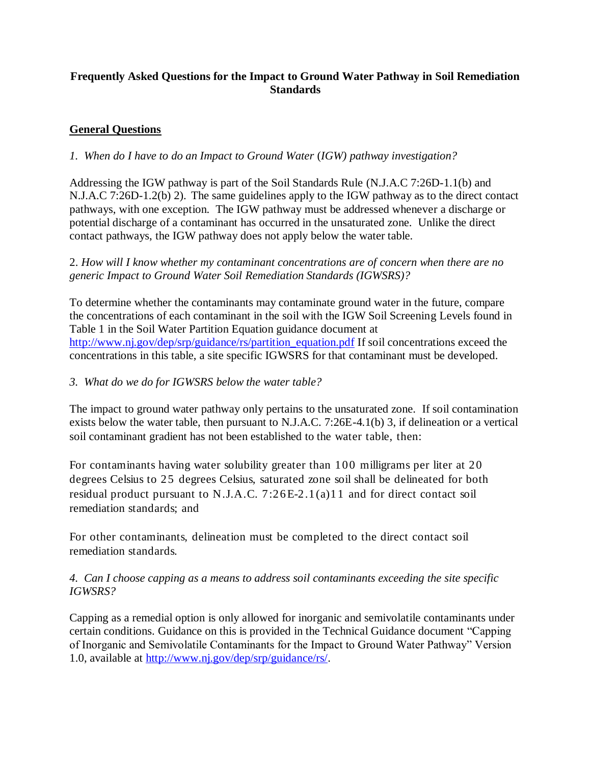### **Frequently Asked Questions for the Impact to Ground Water Pathway in Soil Remediation Standards**

# **General Questions**

#### *1. When do I have to do an Impact to Ground Water* (*IGW) pathway investigation?*

Addressing the IGW pathway is part of the Soil Standards Rule (N.J.A.C 7:26D-1.1(b) and N.J.A.C 7:26D-1.2(b) 2). The same guidelines apply to the IGW pathway as to the direct contact pathways, with one exception. The IGW pathway must be addressed whenever a discharge or potential discharge of a contaminant has occurred in the unsaturated zone. Unlike the direct contact pathways, the IGW pathway does not apply below the water table.

2. *How will I know whether my contaminant concentrations are of concern when there are no generic Impact to Ground Water Soil Remediation Standards (IGWSRS)?* 

To determine whether the contaminants may contaminate ground water in the future, compare the concentrations of each contaminant in the soil with the IGW Soil Screening Levels found in Table 1 in the Soil Water Partition Equation guidance document at [http://www.nj.gov/dep/srp/guidance/rs/partition\\_equation.pdf](http://www.nj.gov/dep/srp/guidance/rs/partition_equation.pdf) If soil concentrations exceed the concentrations in this table, a site specific IGWSRS for that contaminant must be developed.

#### *3. What do we do for IGWSRS below the water table?*

The impact to ground water pathway only pertains to the unsaturated zone. If soil contamination exists below the water table, then pursuant to N.J.A.C. 7:26E-4.1(b) 3, if delineation or a vertical soil contaminant gradient has not been established to the water table, then:

For contaminants having water solubility greater than 100 milligrams per liter at 20 degrees Celsius to 25 degrees Celsius, saturated zone soil shall be delineated for both residual product pursuant to N.J.A.C. 7:26E-2.1(a)11 and for direct contact soil remediation standards; and

For other contaminants, delineation must be completed to the direct contact soil remediation standards.

### *4. Can I choose capping as a means to address soil contaminants exceeding the site specific IGWSRS?*

Capping as a remedial option is only allowed for inorganic and semivolatile contaminants under certain conditions. Guidance on this is provided in the Technical Guidance document "Capping of Inorganic and Semivolatile Contaminants for the Impact to Ground Water Pathway" Version 1.0, available at [http://www.nj.gov/dep/srp/guidance/rs/.](http://www.nj.gov/dep/srp/guidance/rs/)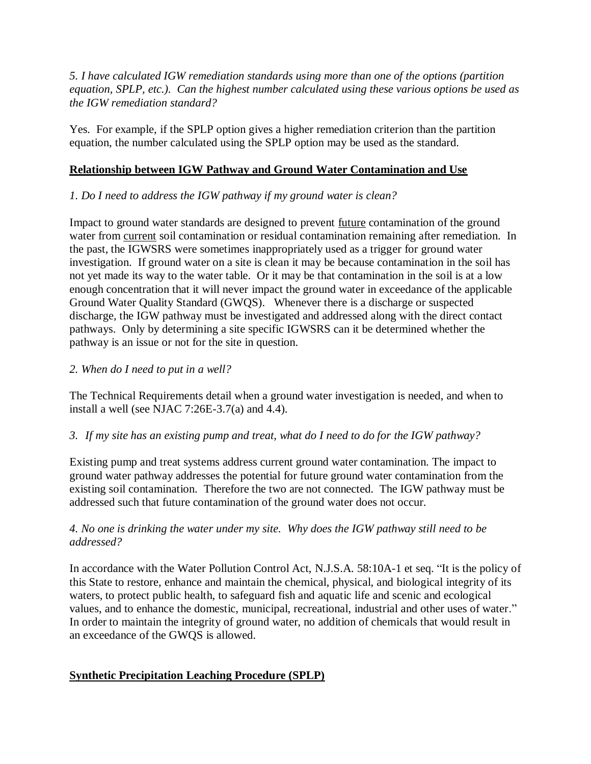*5. I have calculated IGW remediation standards using more than one of the options (partition equation, SPLP, etc.). Can the highest number calculated using these various options be used as the IGW remediation standard?*

Yes. For example, if the SPLP option gives a higher remediation criterion than the partition equation, the number calculated using the SPLP option may be used as the standard.

### **Relationship between IGW Pathway and Ground Water Contamination and Use**

# *1. Do I need to address the IGW pathway if my ground water is clean?*

Impact to ground water standards are designed to prevent future contamination of the ground water from current soil contamination or residual contamination remaining after remediation. In the past, the IGWSRS were sometimes inappropriately used as a trigger for ground water investigation. If ground water on a site is clean it may be because contamination in the soil has not yet made its way to the water table. Or it may be that contamination in the soil is at a low enough concentration that it will never impact the ground water in exceedance of the applicable Ground Water Quality Standard (GWQS). Whenever there is a discharge or suspected discharge, the IGW pathway must be investigated and addressed along with the direct contact pathways. Only by determining a site specific IGWSRS can it be determined whether the pathway is an issue or not for the site in question.

## *2. When do I need to put in a well?*

The Technical Requirements detail when a ground water investigation is needed, and when to install a well (see NJAC  $7:26E-3.7(a)$  and 4.4).

### *3. If my site has an existing pump and treat, what do I need to do for the IGW pathway?*

Existing pump and treat systems address current ground water contamination. The impact to ground water pathway addresses the potential for future ground water contamination from the existing soil contamination. Therefore the two are not connected. The IGW pathway must be addressed such that future contamination of the ground water does not occur.

### *4. No one is drinking the water under my site. Why does the IGW pathway still need to be addressed?*

In accordance with the Water Pollution Control Act, N.J.S.A. 58:10A-1 et seq. "It is the policy of this State to restore, enhance and maintain the chemical, physical, and biological integrity of its waters, to protect public health, to safeguard fish and aquatic life and scenic and ecological values, and to enhance the domestic, municipal, recreational, industrial and other uses of water." In order to maintain the integrity of ground water, no addition of chemicals that would result in an exceedance of the GWQS is allowed.

# **Synthetic Precipitation Leaching Procedure (SPLP)**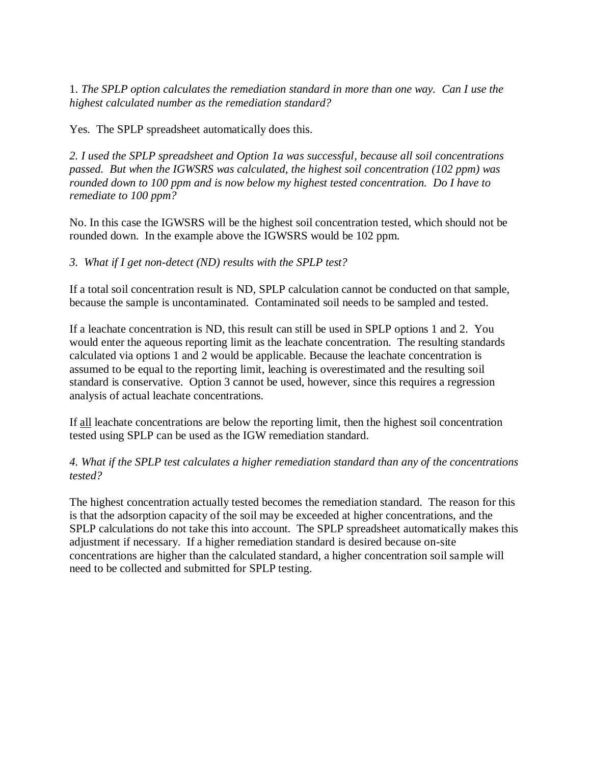1. *The SPLP option calculates the remediation standard in more than one way. Can I use the highest calculated number as the remediation standard?*

Yes. The SPLP spreadsheet automatically does this.

*2. I used the SPLP spreadsheet and Option 1a was successful, because all soil concentrations passed. But when the IGWSRS was calculated, the highest soil concentration (102 ppm) was rounded down to 100 ppm and is now below my highest tested concentration. Do I have to remediate to 100 ppm?*

No. In this case the IGWSRS will be the highest soil concentration tested, which should not be rounded down. In the example above the IGWSRS would be 102 ppm.

*3. What if I get non-detect (ND) results with the SPLP test?*

If a total soil concentration result is ND, SPLP calculation cannot be conducted on that sample, because the sample is uncontaminated. Contaminated soil needs to be sampled and tested.

If a leachate concentration is ND, this result can still be used in SPLP options 1 and 2. You would enter the aqueous reporting limit as the leachate concentration. The resulting standards calculated via options 1 and 2 would be applicable. Because the leachate concentration is assumed to be equal to the reporting limit, leaching is overestimated and the resulting soil standard is conservative. Option 3 cannot be used, however, since this requires a regression analysis of actual leachate concentrations.

If all leachate concentrations are below the reporting limit, then the highest soil concentration tested using SPLP can be used as the IGW remediation standard.

*4. What if the SPLP test calculates a higher remediation standard than any of the concentrations tested?*

The highest concentration actually tested becomes the remediation standard. The reason for this is that the adsorption capacity of the soil may be exceeded at higher concentrations, and the SPLP calculations do not take this into account. The SPLP spreadsheet automatically makes this adjustment if necessary. If a higher remediation standard is desired because on-site concentrations are higher than the calculated standard, a higher concentration soil sample will need to be collected and submitted for SPLP testing.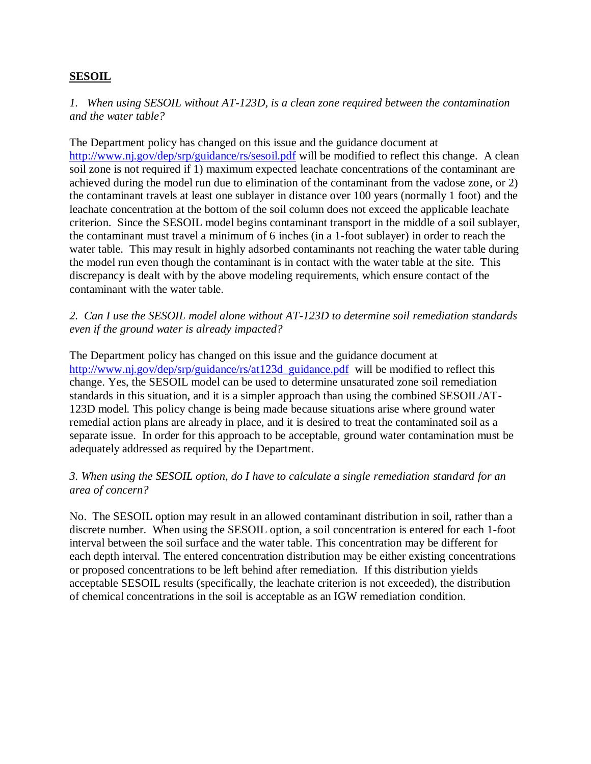### **SESOIL**

*1. When using SESOIL without AT-123D, is a clean zone required between the contamination and the water table?* 

The Department policy has changed on this issue and the guidance document at <http://www.nj.gov/dep/srp/guidance/rs/sesoil.pdf> will be modified to reflect this change. A clean soil zone is not required if 1) maximum expected leachate concentrations of the contaminant are achieved during the model run due to elimination of the contaminant from the vadose zone, or 2) the contaminant travels at least one sublayer in distance over 100 years (normally 1 foot) and the leachate concentration at the bottom of the soil column does not exceed the applicable leachate criterion. Since the SESOIL model begins contaminant transport in the middle of a soil sublayer, the contaminant must travel a minimum of 6 inches (in a 1-foot sublayer) in order to reach the water table. This may result in highly adsorbed contaminants not reaching the water table during the model run even though the contaminant is in contact with the water table at the site. This discrepancy is dealt with by the above modeling requirements, which ensure contact of the contaminant with the water table.

*2. Can I use the SESOIL model alone without AT-123D to determine soil remediation standards even if the ground water is already impacted?*

The Department policy has changed on this issue and the guidance document at [http://www.nj.gov/dep/srp/guidance/rs/at123d\\_guidance.pdf](http://www.nj.gov/dep/srp/guidance/rs/at123d_guidance.pdf) will be modified to reflect this change. Yes, the SESOIL model can be used to determine unsaturated zone soil remediation standards in this situation, and it is a simpler approach than using the combined SESOIL/AT-123D model. This policy change is being made because situations arise where ground water remedial action plans are already in place, and it is desired to treat the contaminated soil as a separate issue. In order for this approach to be acceptable, ground water contamination must be adequately addressed as required by the Department.

#### *3. When using the SESOIL option, do I have to calculate a single remediation standard for an area of concern?*

No. The SESOIL option may result in an allowed contaminant distribution in soil, rather than a discrete number. When using the SESOIL option, a soil concentration is entered for each 1-foot interval between the soil surface and the water table. This concentration may be different for each depth interval. The entered concentration distribution may be either existing concentrations or proposed concentrations to be left behind after remediation. If this distribution yields acceptable SESOIL results (specifically, the leachate criterion is not exceeded), the distribution of chemical concentrations in the soil is acceptable as an IGW remediation condition.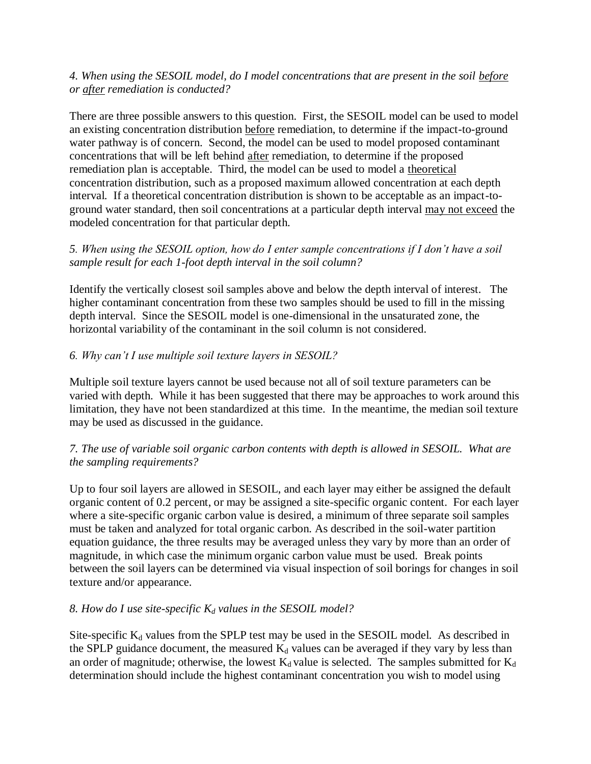### *4. When using the SESOIL model, do I model concentrations that are present in the soil before or after remediation is conducted?*

There are three possible answers to this question. First, the SESOIL model can be used to model an existing concentration distribution before remediation, to determine if the impact-to-ground water pathway is of concern. Second, the model can be used to model proposed contaminant concentrations that will be left behind after remediation, to determine if the proposed remediation plan is acceptable. Third, the model can be used to model a theoretical concentration distribution, such as a proposed maximum allowed concentration at each depth interval. If a theoretical concentration distribution is shown to be acceptable as an impact-toground water standard, then soil concentrations at a particular depth interval may not exceed the modeled concentration for that particular depth.

### *5. When using the SESOIL option, how do I enter sample concentrations if I don't have a soil sample result for each 1-foot depth interval in the soil column?*

Identify the vertically closest soil samples above and below the depth interval of interest. The higher contaminant concentration from these two samples should be used to fill in the missing depth interval. Since the SESOIL model is one-dimensional in the unsaturated zone, the horizontal variability of the contaminant in the soil column is not considered.

## *6. Why can't I use multiple soil texture layers in SESOIL?*

Multiple soil texture layers cannot be used because not all of soil texture parameters can be varied with depth. While it has been suggested that there may be approaches to work around this limitation, they have not been standardized at this time. In the meantime, the median soil texture may be used as discussed in the guidance.

### *7. The use of variable soil organic carbon contents with depth is allowed in SESOIL. What are the sampling requirements?*

Up to four soil layers are allowed in SESOIL, and each layer may either be assigned the default organic content of 0.2 percent, or may be assigned a site-specific organic content. For each layer where a site-specific organic carbon value is desired, a minimum of three separate soil samples must be taken and analyzed for total organic carbon. As described in the soil-water partition equation guidance, the three results may be averaged unless they vary by more than an order of magnitude, in which case the minimum organic carbon value must be used. Break points between the soil layers can be determined via visual inspection of soil borings for changes in soil texture and/or appearance.

### *8. How do I use site-specific K<sup>d</sup> values in the SESOIL model?*

Site-specific  $K_d$  values from the SPLP test may be used in the SESOIL model. As described in the SPLP guidance document, the measured  $K_d$  values can be averaged if they vary by less than an order of magnitude; otherwise, the lowest  $K_d$  value is selected. The samples submitted for  $K_d$ determination should include the highest contaminant concentration you wish to model using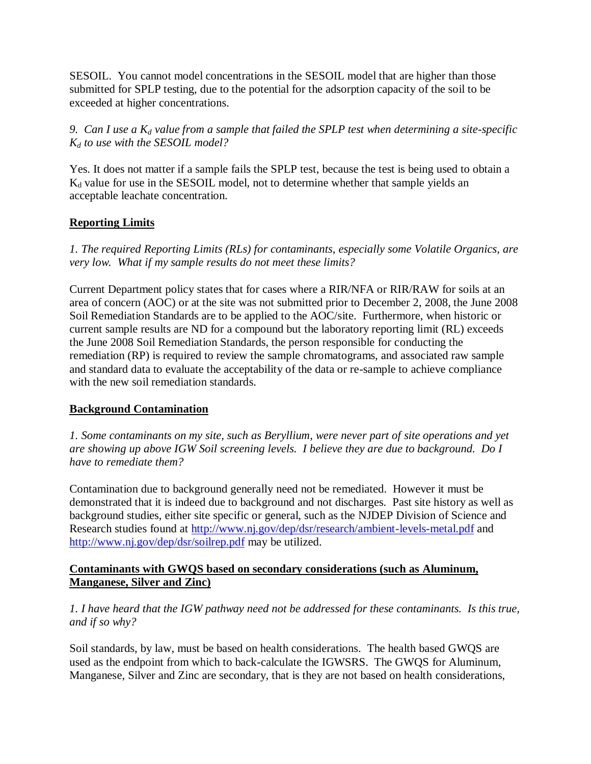SESOIL. You cannot model concentrations in the SESOIL model that are higher than those submitted for SPLP testing, due to the potential for the adsorption capacity of the soil to be exceeded at higher concentrations.

*9. Can I use a K<sup>d</sup> value from a sample that failed the SPLP test when determining a site-specific K<sup>d</sup> to use with the SESOIL model?*

Yes. It does not matter if a sample fails the SPLP test, because the test is being used to obtain a K<sub>d</sub> value for use in the SESOIL model, not to determine whether that sample yields an acceptable leachate concentration.

# **Reporting Limits**

*1. The required Reporting Limits (RLs) for contaminants, especially some Volatile Organics, are very low. What if my sample results do not meet these limits?*

Current Department policy states that for cases where a RIR/NFA or RIR/RAW for soils at an area of concern (AOC) or at the site was not submitted prior to December 2, 2008, the June 2008 Soil Remediation Standards are to be applied to the AOC/site. Furthermore, when historic or current sample results are ND for a compound but the laboratory reporting limit (RL) exceeds the June 2008 Soil Remediation Standards, the person responsible for conducting the remediation (RP) is required to review the sample chromatograms, and associated raw sample and standard data to evaluate the acceptability of the data or re-sample to achieve compliance with the new soil remediation standards.

### **Background Contamination**

*1. Some contaminants on my site, such as Beryllium, were never part of site operations and yet are showing up above IGW Soil screening levels. I believe they are due to background. Do I have to remediate them?* 

Contamination due to background generally need not be remediated. However it must be demonstrated that it is indeed due to background and not discharges. Past site history as well as background studies, either site specific or general, such as the NJDEP Division of Science and Research studies found at<http://www.nj.gov/dep/dsr/research/ambient-levels-metal.pdf> and <http://www.nj.gov/dep/dsr/soilrep.pdf> may be utilized.

#### **Contaminants with GWQS based on secondary considerations (such as Aluminum, Manganese, Silver and Zinc)**

*1. I have heard that the IGW pathway need not be addressed for these contaminants. Is this true, and if so why?*

Soil standards, by law, must be based on health considerations. The health based GWQS are used as the endpoint from which to back-calculate the IGWSRS. The GWQS for Aluminum, Manganese, Silver and Zinc are secondary, that is they are not based on health considerations,